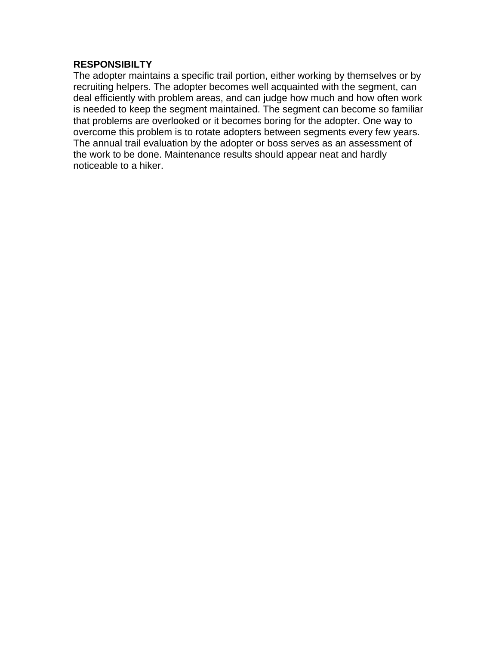#### **RESPONSIBILTY**

The adopter maintains a specific trail portion, either working by themselves or by recruiting helpers. The adopter becomes well acquainted with the segment, can deal efficiently with problem areas, and can judge how much and how often work is needed to keep the segment maintained. The segment can become so familiar that problems are overlooked or it becomes boring for the adopter. One way to overcome this problem is to rotate adopters between segments every few years. The annual trail evaluation by the adopter or boss serves as an assessment of the work to be done. Maintenance results should appear neat and hardly noticeable to a hiker.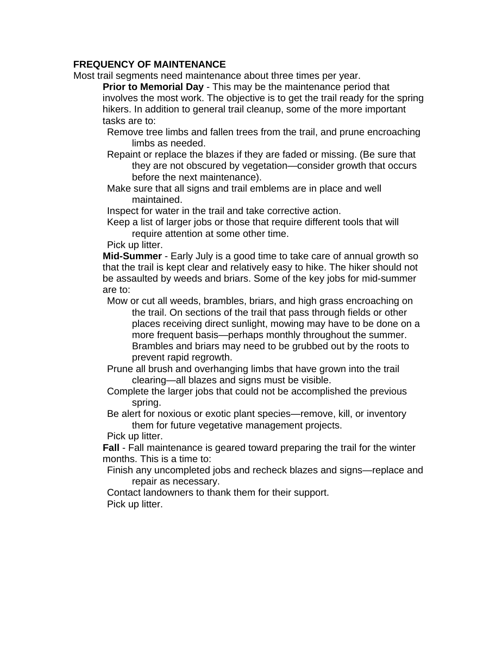### **FREQUENCY OF MAINTENANCE**

Most trail segments need maintenance about three times per year.

**Prior to Memorial Day** - This may be the maintenance period that involves the most work. The objective is to get the trail ready for the spring hikers. In addition to general trail cleanup, some of the more important tasks are to:

Remove tree limbs and fallen trees from the trail, and prune encroaching limbs as needed.

Repaint or replace the blazes if they are faded or missing. (Be sure that they are not obscured by vegetation—consider growth that occurs before the next maintenance).

Make sure that all signs and trail emblems are in place and well maintained.

Inspect for water in the trail and take corrective action.

Keep a list of larger jobs or those that require different tools that will require attention at some other time.

Pick up litter.

**Mid-Summer** - Early July is a good time to take care of annual growth so that the trail is kept clear and relatively easy to hike. The hiker should not be assaulted by weeds and briars. Some of the key jobs for mid-summer are to:

Mow or cut all weeds, brambles, briars, and high grass encroaching on the trail. On sections of the trail that pass through fields or other places receiving direct sunlight, mowing may have to be done on a more frequent basis—perhaps monthly throughout the summer. Brambles and briars may need to be grubbed out by the roots to prevent rapid regrowth.

Prune all brush and overhanging limbs that have grown into the trail clearing—all blazes and signs must be visible.

Complete the larger jobs that could not be accomplished the previous spring.

Be alert for noxious or exotic plant species—remove, kill, or inventory them for future vegetative management projects.

Pick up litter.

**Fall** - Fall maintenance is geared toward preparing the trail for the winter months. This is a time to:

Finish any uncompleted jobs and recheck blazes and signs—replace and repair as necessary.

Contact landowners to thank them for their support. Pick up litter.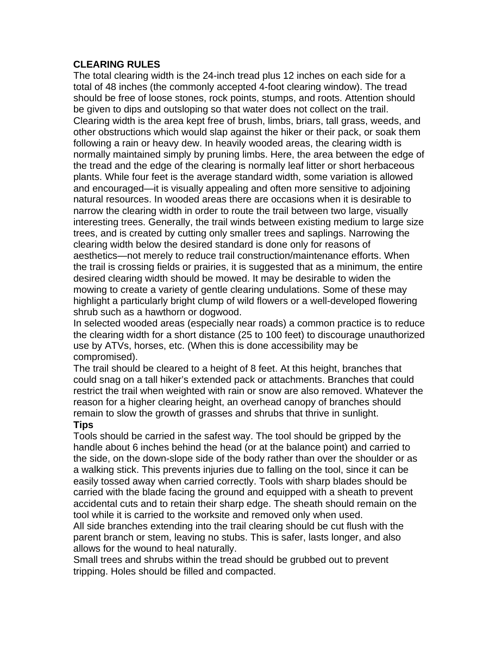#### **CLEARING RULES**

The total clearing width is the 24-inch tread plus 12 inches on each side for a total of 48 inches (the commonly accepted 4-foot clearing window). The tread should be free of loose stones, rock points, stumps, and roots. Attention should be given to dips and outsloping so that water does not collect on the trail. Clearing width is the area kept free of brush, limbs, briars, tall grass, weeds, and other obstructions which would slap against the hiker or their pack, or soak them following a rain or heavy dew. In heavily wooded areas, the clearing width is normally maintained simply by pruning limbs. Here, the area between the edge of the tread and the edge of the clearing is normally leaf litter or short herbaceous plants. While four feet is the average standard width, some variation is allowed and encouraged—it is visually appealing and often more sensitive to adjoining natural resources. In wooded areas there are occasions when it is desirable to narrow the clearing width in order to route the trail between two large, visually interesting trees. Generally, the trail winds between existing medium to large size trees, and is created by cutting only smaller trees and saplings. Narrowing the clearing width below the desired standard is done only for reasons of aesthetics—not merely to reduce trail construction/maintenance efforts. When the trail is crossing fields or prairies, it is suggested that as a minimum, the entire desired clearing width should be mowed. It may be desirable to widen the mowing to create a variety of gentle clearing undulations. Some of these may highlight a particularly bright clump of wild flowers or a well-developed flowering shrub such as a hawthorn or dogwood.

In selected wooded areas (especially near roads) a common practice is to reduce the clearing width for a short distance (25 to 100 feet) to discourage unauthorized use by ATVs, horses, etc. (When this is done accessibility may be compromised).

The trail should be cleared to a height of 8 feet. At this height, branches that could snag on a tall hiker's extended pack or attachments. Branches that could restrict the trail when weighted with rain or snow are also removed. Whatever the reason for a higher clearing height, an overhead canopy of branches should remain to slow the growth of grasses and shrubs that thrive in sunlight.

#### **Tips**

Tools should be carried in the safest way. The tool should be gripped by the handle about 6 inches behind the head (or at the balance point) and carried to the side, on the down-slope side of the body rather than over the shoulder or as a walking stick. This prevents injuries due to falling on the tool, since it can be easily tossed away when carried correctly. Tools with sharp blades should be carried with the blade facing the ground and equipped with a sheath to prevent accidental cuts and to retain their sharp edge. The sheath should remain on the tool while it is carried to the worksite and removed only when used.

All side branches extending into the trail clearing should be cut flush with the parent branch or stem, leaving no stubs. This is safer, lasts longer, and also allows for the wound to heal naturally.

Small trees and shrubs within the tread should be grubbed out to prevent tripping. Holes should be filled and compacted.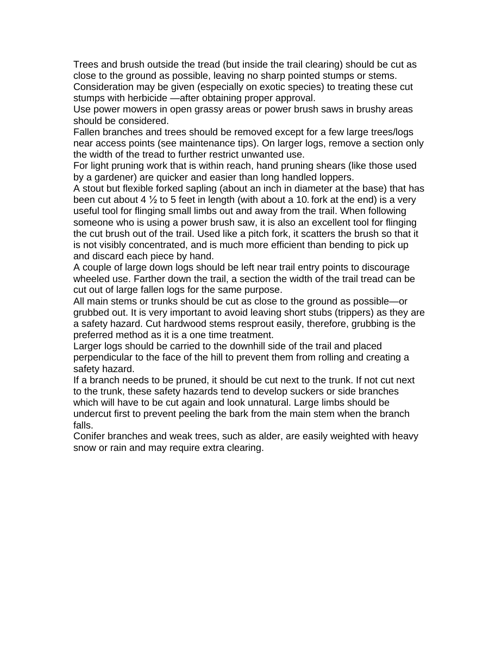Trees and brush outside the tread (but inside the trail clearing) should be cut as close to the ground as possible, leaving no sharp pointed stumps or stems.

Consideration may be given (especially on exotic species) to treating these cut stumps with herbicide —after obtaining proper approval.

Use power mowers in open grassy areas or power brush saws in brushy areas should be considered.

Fallen branches and trees should be removed except for a few large trees/logs near access points (see maintenance tips). On larger logs, remove a section only the width of the tread to further restrict unwanted use.

For light pruning work that is within reach, hand pruning shears (like those used by a gardener) are quicker and easier than long handled loppers.

A stout but flexible forked sapling (about an inch in diameter at the base) that has been cut about 4  $\frac{1}{2}$  to 5 feet in length (with about a 10. fork at the end) is a very useful tool for flinging small limbs out and away from the trail. When following someone who is using a power brush saw, it is also an excellent tool for flinging the cut brush out of the trail. Used like a pitch fork, it scatters the brush so that it is not visibly concentrated, and is much more efficient than bending to pick up and discard each piece by hand.

A couple of large down logs should be left near trail entry points to discourage wheeled use. Farther down the trail, a section the width of the trail tread can be cut out of large fallen logs for the same purpose.

All main stems or trunks should be cut as close to the ground as possible—or grubbed out. It is very important to avoid leaving short stubs (trippers) as they are a safety hazard. Cut hardwood stems resprout easily, therefore, grubbing is the preferred method as it is a one time treatment.

Larger logs should be carried to the downhill side of the trail and placed perpendicular to the face of the hill to prevent them from rolling and creating a safety hazard.

If a branch needs to be pruned, it should be cut next to the trunk. If not cut next to the trunk, these safety hazards tend to develop suckers or side branches which will have to be cut again and look unnatural. Large limbs should be undercut first to prevent peeling the bark from the main stem when the branch falls.

Conifer branches and weak trees, such as alder, are easily weighted with heavy snow or rain and may require extra clearing.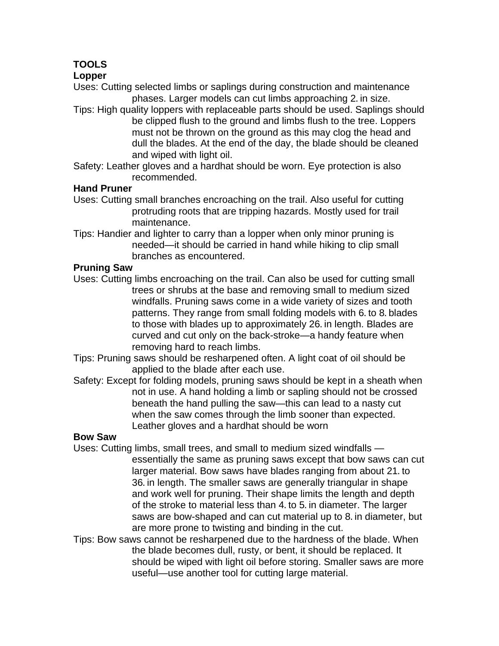# **TOOLS**

## **Lopper**

Uses: Cutting selected limbs or saplings during construction and maintenance phases. Larger models can cut limbs approaching 2. in size.

- Tips: High quality loppers with replaceable parts should be used. Saplings should be clipped flush to the ground and limbs flush to the tree. Loppers must not be thrown on the ground as this may clog the head and dull the blades. At the end of the day, the blade should be cleaned and wiped with light oil.
- Safety: Leather gloves and a hardhat should be worn. Eye protection is also recommended.

## **Hand Pruner**

- Uses: Cutting small branches encroaching on the trail. Also useful for cutting protruding roots that are tripping hazards. Mostly used for trail maintenance.
- Tips: Handier and lighter to carry than a lopper when only minor pruning is needed—it should be carried in hand while hiking to clip small branches as encountered.

## **Pruning Saw**

- Uses: Cutting limbs encroaching on the trail. Can also be used for cutting small trees or shrubs at the base and removing small to medium sized windfalls. Pruning saws come in a wide variety of sizes and tooth patterns. They range from small folding models with 6. to 8. blades to those with blades up to approximately 26-in length. Blades are curved and cut only on the back-stroke—a handy feature when removing hard to reach limbs.
- Tips: Pruning saws should be resharpened often. A light coat of oil should be applied to the blade after each use.
- Safety: Except for folding models, pruning saws should be kept in a sheath when not in use. A hand holding a limb or sapling should not be crossed beneath the hand pulling the saw—this can lead to a nasty cut when the saw comes through the limb sooner than expected. Leather gloves and a hardhat should be worn

## **Bow Saw**

- Uses: Cutting limbs, small trees, and small to medium sized windfalls essentially the same as pruning saws except that bow saws can cut larger material. Bow saws have blades ranging from about 21. to 36. in length. The smaller saws are generally triangular in shape and work well for pruning. Their shape limits the length and depth of the stroke to material less than 4. to 5. in diameter. The larger saws are bow-shaped and can cut material up to 8. in diameter, but are more prone to twisting and binding in the cut.
- Tips: Bow saws cannot be resharpened due to the hardness of the blade. When the blade becomes dull, rusty, or bent, it should be replaced. It should be wiped with light oil before storing. Smaller saws are more useful—use another tool for cutting large material.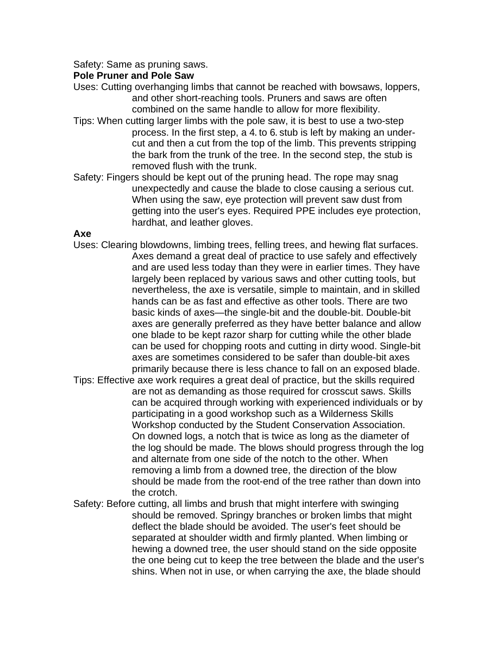Safety: Same as pruning saws.

#### **Pole Pruner and Pole Saw**

Uses: Cutting overhanging limbs that cannot be reached with bowsaws, loppers, and other short-reaching tools. Pruners and saws are often combined on the same handle to allow for more flexibility.

- Tips: When cutting larger limbs with the pole saw, it is best to use a two-step process. In the first step, a 4. to 6. stub is left by making an undercut and then a cut from the top of the limb. This prevents stripping the bark from the trunk of the tree. In the second step, the stub is removed flush with the trunk.
- Safety: Fingers should be kept out of the pruning head. The rope may snag unexpectedly and cause the blade to close causing a serious cut. When using the saw, eye protection will prevent saw dust from getting into the user's eyes. Required PPE includes eye protection, hardhat, and leather gloves.

#### **Axe**

- Uses: Clearing blowdowns, limbing trees, felling trees, and hewing flat surfaces. Axes demand a great deal of practice to use safely and effectively and are used less today than they were in earlier times. They have largely been replaced by various saws and other cutting tools, but nevertheless, the axe is versatile, simple to maintain, and in skilled hands can be as fast and effective as other tools. There are two basic kinds of axes—the single-bit and the double-bit. Double-bit axes are generally preferred as they have better balance and allow one blade to be kept razor sharp for cutting while the other blade can be used for chopping roots and cutting in dirty wood. Single-bit axes are sometimes considered to be safer than double-bit axes primarily because there is less chance to fall on an exposed blade.
- Tips: Effective axe work requires a great deal of practice, but the skills required are not as demanding as those required for crosscut saws. Skills can be acquired through working with experienced individuals or by participating in a good workshop such as a Wilderness Skills Workshop conducted by the Student Conservation Association. On downed logs, a notch that is twice as long as the diameter of the log should be made. The blows should progress through the log and alternate from one side of the notch to the other. When removing a limb from a downed tree, the direction of the blow should be made from the root-end of the tree rather than down into the crotch.
- Safety: Before cutting, all limbs and brush that might interfere with swinging should be removed. Springy branches or broken limbs that might deflect the blade should be avoided. The user's feet should be separated at shoulder width and firmly planted. When limbing or hewing a downed tree, the user should stand on the side opposite the one being cut to keep the tree between the blade and the user's shins. When not in use, or when carrying the axe, the blade should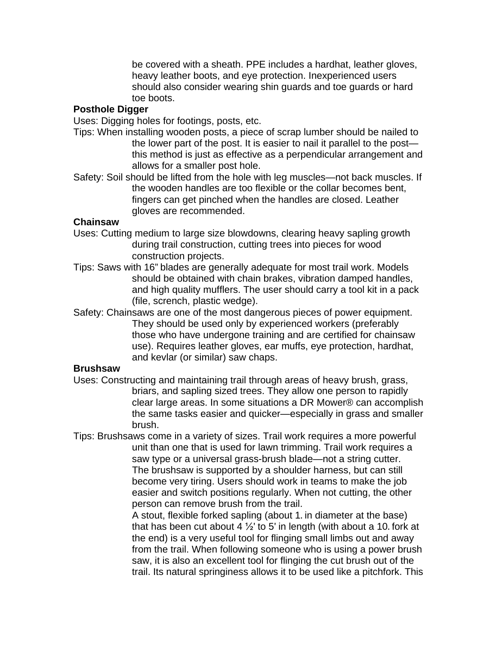be covered with a sheath. PPE includes a hardhat, leather gloves, heavy leather boots, and eye protection. Inexperienced users should also consider wearing shin guards and toe guards or hard toe boots.

## **Posthole Digger**

Uses: Digging holes for footings, posts, etc.

- Tips: When installing wooden posts, a piece of scrap lumber should be nailed to the lower part of the post. It is easier to nail it parallel to the post this method is just as effective as a perpendicular arrangement and allows for a smaller post hole.
- Safety: Soil should be lifted from the hole with leg muscles—not back muscles. If the wooden handles are too flexible or the collar becomes bent, fingers can get pinched when the handles are closed. Leather gloves are recommended.

#### **Chainsaw**

- Uses: Cutting medium to large size blowdowns, clearing heavy sapling growth during trail construction, cutting trees into pieces for wood construction projects.
- Tips: Saws with 16" blades are generally adequate for most trail work. Models should be obtained with chain brakes, vibration damped handles, and high quality mufflers. The user should carry a tool kit in a pack (file, scrench, plastic wedge).
- Safety: Chainsaws are one of the most dangerous pieces of power equipment. They should be used only by experienced workers (preferably those who have undergone training and are certified for chainsaw use). Requires leather gloves, ear muffs, eye protection, hardhat, and kevlar (or similar) saw chaps.

#### **Brushsaw**

- Uses: Constructing and maintaining trail through areas of heavy brush, grass, briars, and sapling sized trees. They allow one person to rapidly clear large areas. In some situations a DR Mower® can accomplish the same tasks easier and quicker—especially in grass and smaller brush.
- Tips: Brushsaws come in a variety of sizes. Trail work requires a more powerful unit than one that is used for lawn trimming. Trail work requires a saw type or a universal grass-brush blade—not a string cutter. The brushsaw is supported by a shoulder harness, but can still become very tiring. Users should work in teams to make the job easier and switch positions regularly. When not cutting, the other person can remove brush from the trail.

A stout, flexible forked sapling (about 1. in diameter at the base) that has been cut about 4  $\frac{1}{2}$  to 5' in length (with about a 10. fork at the end) is a very useful tool for flinging small limbs out and away from the trail. When following someone who is using a power brush saw, it is also an excellent tool for flinging the cut brush out of the trail. Its natural springiness allows it to be used like a pitchfork. This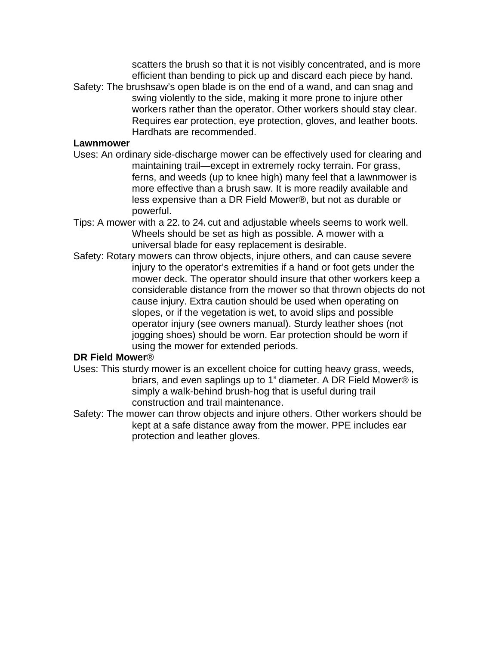scatters the brush so that it is not visibly concentrated, and is more efficient than bending to pick up and discard each piece by hand. Safety: The brushsaw's open blade is on the end of a wand, and can snag and swing violently to the side, making it more prone to injure other workers rather than the operator. Other workers should stay clear. Requires ear protection, eye protection, gloves, and leather boots. Hardhats are recommended.

#### **Lawnmower**

- Uses: An ordinary side-discharge mower can be effectively used for clearing and maintaining trail—except in extremely rocky terrain. For grass, ferns, and weeds (up to knee high) many feel that a lawnmower is more effective than a brush saw. It is more readily available and less expensive than a DR Field Mower®, but not as durable or powerful.
- Tips: A mower with a 22. to 24. cut and adjustable wheels seems to work well. Wheels should be set as high as possible. A mower with a universal blade for easy replacement is desirable.
- Safety: Rotary mowers can throw objects, injure others, and can cause severe injury to the operator's extremities if a hand or foot gets under the mower deck. The operator should insure that other workers keep a considerable distance from the mower so that thrown objects do not cause injury. Extra caution should be used when operating on slopes, or if the vegetation is wet, to avoid slips and possible operator injury (see owners manual). Sturdy leather shoes (not jogging shoes) should be worn. Ear protection should be worn if using the mower for extended periods.

#### **DR Field Mower**®

- Uses: This sturdy mower is an excellent choice for cutting heavy grass, weeds, briars, and even saplings up to 1" diameter. A DR Field Mower® is simply a walk-behind brush-hog that is useful during trail construction and trail maintenance.
- Safety: The mower can throw objects and injure others. Other workers should be kept at a safe distance away from the mower. PPE includes ear protection and leather gloves.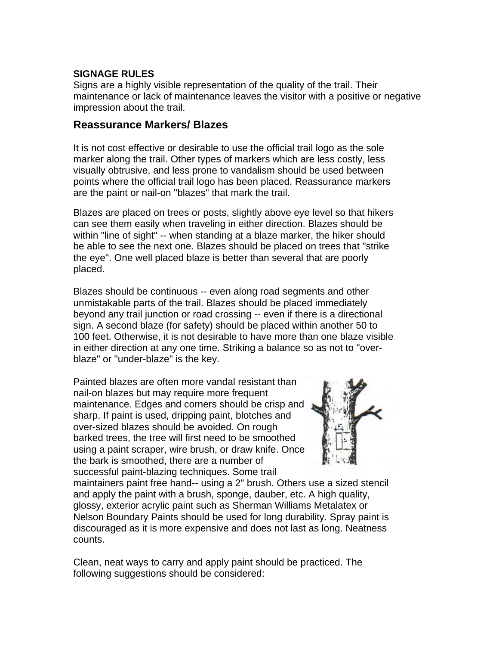## **SIGNAGE RULES**

Signs are a highly visible representation of the quality of the trail. Their maintenance or lack of maintenance leaves the visitor with a positive or negative impression about the trail.

## **Reassurance Markers/ Blazes**

It is not cost effective or desirable to use the official trail logo as the sole marker along the trail. Other types of markers which are less costly, less visually obtrusive, and less prone to vandalism should be used between points where the official trail logo has been placed. Reassurance markers are the paint or nail-on "blazes" that mark the trail.

Blazes are placed on trees or posts, slightly above eye level so that hikers can see them easily when traveling in either direction. Blazes should be within "line of sight" -- when standing at a blaze marker, the hiker should be able to see the next one. Blazes should be placed on trees that "strike the eye". One well placed blaze is better than several that are poorly placed.

Blazes should be continuous -- even along road segments and other unmistakable parts of the trail. Blazes should be placed immediately beyond any trail junction or road crossing -- even if there is a directional sign. A second blaze (for safety) should be placed within another 50 to 100 feet. Otherwise, it is not desirable to have more than one blaze visible in either direction at any one time. Striking a balance so as not to "overblaze" or "under-blaze" is the key.

Painted blazes are often more vandal resistant than nail-on blazes but may require more frequent maintenance. Edges and corners should be crisp and sharp. If paint is used, dripping paint, blotches and over-sized blazes should be avoided. On rough barked trees, the tree will first need to be smoothed using a paint scraper, wire brush, or draw knife. Once the bark is smoothed, there are a number of successful paint-blazing techniques. Some trail



maintainers paint free hand-- using a 2" brush. Others use a sized stencil and apply the paint with a brush, sponge, dauber, etc. A high quality, glossy, exterior acrylic paint such as Sherman Williams Metalatex or Nelson Boundary Paints should be used for long durability. Spray paint is discouraged as it is more expensive and does not last as long. Neatness counts.

Clean, neat ways to carry and apply paint should be practiced. The following suggestions should be considered: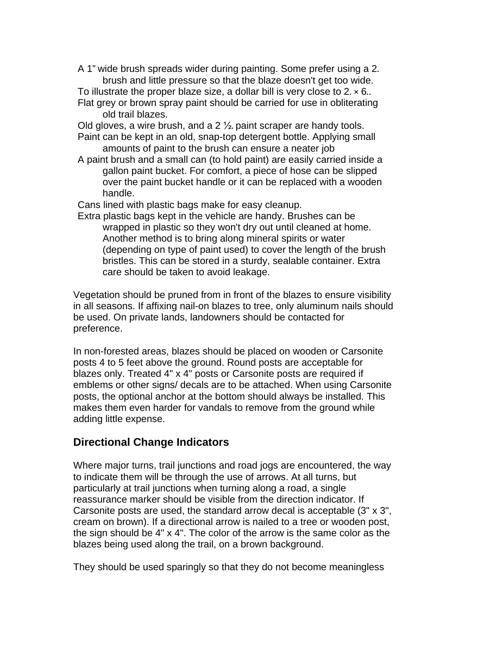- A 1" wide brush spreads wider during painting. Some prefer using a 2. brush and little pressure so that the blaze doesn't get too wide.
- To illustrate the proper blaze size, a dollar bill is very close to  $2 \times 6$ . Flat grey or brown spray paint should be carried for use in obliterating old trail blazes.

Old gloves, a wire brush, and a  $2\frac{1}{2}$  paint scraper are handy tools. Paint can be kept in an old, snap-top detergent bottle. Applying small

amounts of paint to the brush can ensure a neater job

A paint brush and a small can (to hold paint) are easily carried inside a gallon paint bucket. For comfort, a piece of hose can be slipped over the paint bucket handle or it can be replaced with a wooden handle.

Cans lined with plastic bags make for easy cleanup.

Extra plastic bags kept in the vehicle are handy. Brushes can be wrapped in plastic so they won't dry out until cleaned at home. Another method is to bring along mineral spirits or water (depending on type of paint used) to cover the length of the brush bristles. This can be stored in a sturdy, sealable container. Extra care should be taken to avoid leakage.

Vegetation should be pruned from in front of the blazes to ensure visibility in all seasons. If affixing nail-on blazes to tree, only aluminum nails should be used. On private lands, landowners should be contacted for preference.

In non-forested areas, blazes should be placed on wooden or Carsonite posts 4 to 5 feet above the ground. Round posts are acceptable for blazes only. Treated 4" x 4" posts or Carsonite posts are required if emblems or other signs/ decals are to be attached. When using Carsonite posts, the optional anchor at the bottom should always be installed. This makes them even harder for vandals to remove from the ground while adding little expense.

## **Directional Change Indicators**

Where major turns, trail junctions and road jogs are encountered, the way to indicate them will be through the use of arrows. At all turns, but particularly at trail junctions when turning along a road, a single reassurance marker should be visible from the direction indicator. If Carsonite posts are used, the standard arrow decal is acceptable (3" x 3", cream on brown). If a directional arrow is nailed to a tree or wooden post, the sign should be 4" x 4". The color of the arrow is the same color as the blazes being used along the trail, on a brown background.

They should be used sparingly so that they do not become meaningless